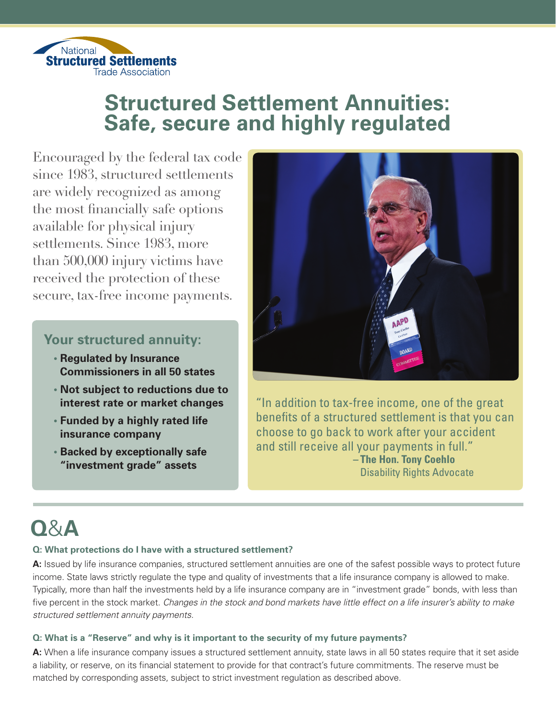

## **Structured Settlement Annuities: Safe, secure and highly regulated**

Encouraged by the federal tax code since 1983, structured settlements are widely recognized as among the most financially safe options available for physical injury settlements. Since 1983, more than  $500,000$  injury victims have received the protection of these secure, tax-free income payments.

### **Your structured annuity:**

- **U Regulated by Insurance Commissioners in all 50 states**
- **U Not subject to reductions due to interest rate or market changes**
- **U Funded by a highly rated life insurance company**
- **U Backed by exceptionally safe "investment grade" assets**



"In addition to tax-free income, one of the great benefits of a structured settlement is that you can choose to go back to work after your accident and still receive all your payments in full." **– The Hon. Tony Coehlo**  Disability Rights Advocate

# **Q**&**A**

#### **Q: What protections do I have with a structured settlement?**

**A:** Issued by life insurance companies, structured settlement annuities are one of the safest possible ways to protect future income. State laws strictly regulate the type and quality of investments that a life insurance company is allowed to make. Typically, more than half the investments held by a life insurance company are in "investment grade" bonds, with less than five percent in the stock market. Changes in the stock and bond markets have little effect on a life insurer's ability to make structured settlement annuity payments.

#### **Q: What is a "Reserve" and why is it important to the security of my future payments?**

**A:** When a life insurance company issues a structured settlement annuity, state laws in all 50 states require that it set aside a liability, or reserve, on its financial statement to provide for that contract's future commitments. The reserve must be matched by corresponding assets, subject to strict investment regulation as described above.